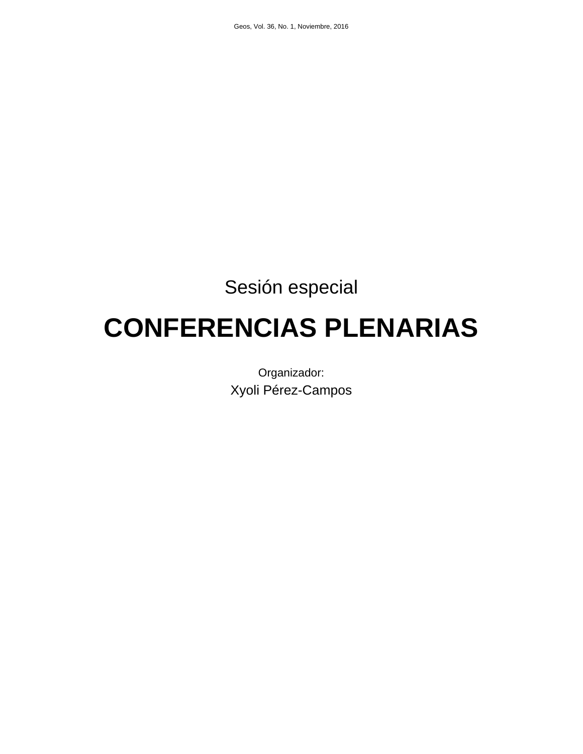# Sesión especial

# **CONFERENCIAS PLENARIAS**

Organizador: Xyoli Pérez-Campos